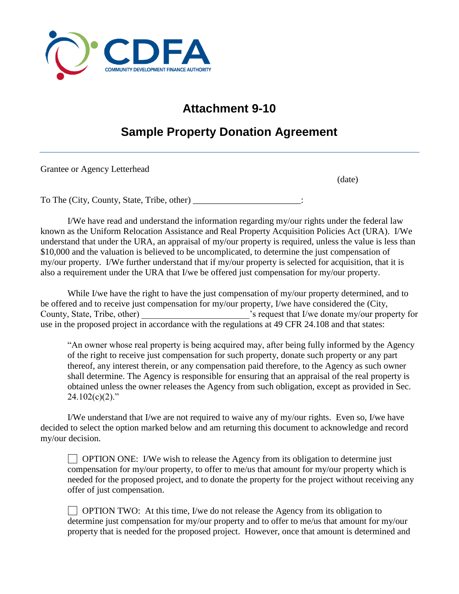

## **Attachment 9-10**

## **Sample Property Donation Agreement**

Grantee or Agency Letterhead

(date)

To The (City, County, State, Tribe, other) \_\_\_\_\_\_\_\_\_\_\_\_\_\_\_\_\_\_\_\_\_\_\_\_:

I/We have read and understand the information regarding my/our rights under the federal law known as the Uniform Relocation Assistance and Real Property Acquisition Policies Act (URA). I/We understand that under the URA, an appraisal of my/our property is required, unless the value is less than \$10,000 and the valuation is believed to be uncomplicated, to determine the just compensation of my/our property. I/We further understand that if my/our property is selected for acquisition, that it is also a requirement under the URA that I/we be offered just compensation for my/our property.

While I/we have the right to have the just compensation of my/our property determined, and to be offered and to receive just compensation for my/our property, I/we have considered the (City, County, State, Tribe, other)  $\cdot$  s request that I/we donate my/our property for use in the proposed project in accordance with the regulations at 49 CFR 24.108 and that states:

"An owner whose real property is being acquired may, after being fully informed by the Agency of the right to receive just compensation for such property, donate such property or any part thereof, any interest therein, or any compensation paid therefore, to the Agency as such owner shall determine. The Agency is responsible for ensuring that an appraisal of the real property is obtained unless the owner releases the Agency from such obligation, except as provided in Sec.  $24.102(c)(2)$ ."

I/We understand that I/we are not required to waive any of my/our rights. Even so, I/we have decided to select the option marked below and am returning this document to acknowledge and record my/our decision.

 $\Box$  OPTION ONE: I/We wish to release the Agency from its obligation to determine just compensation for my/our property, to offer to me/us that amount for my/our property which is needed for the proposed project, and to donate the property for the project without receiving any offer of just compensation.

 $\Box$  OPTION TWO: At this time, I/we do not release the Agency from its obligation to determine just compensation for my/our property and to offer to me/us that amount for my/our property that is needed for the proposed project. However, once that amount is determined and